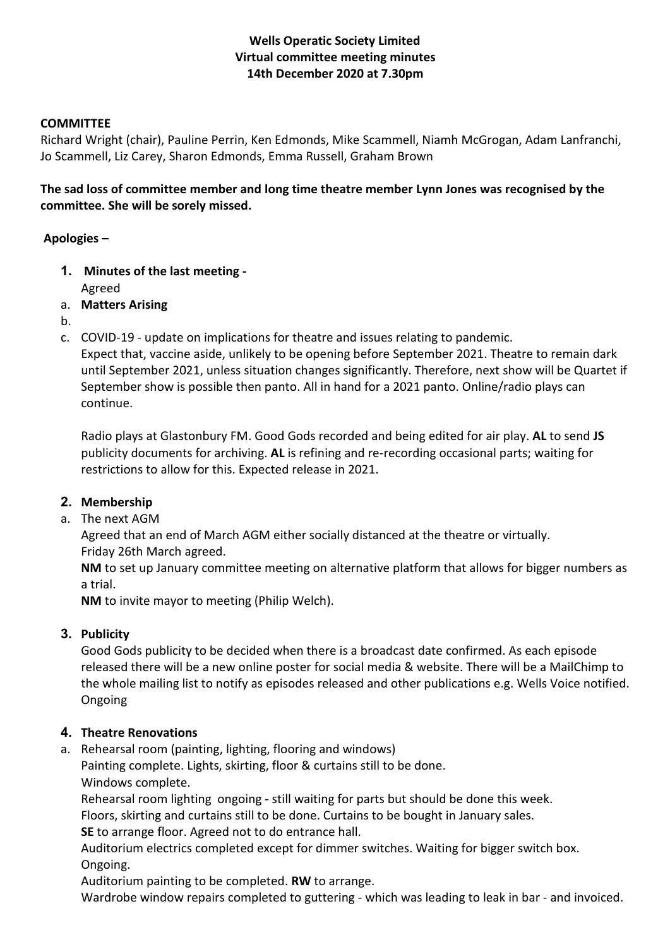## **Wells Operatic Society Limited Virtual committee meeting minutes 14th December 2020 at 7.30pm**

#### **COMMITTEE**

Richard Wright (chair), Pauline Perrin, Ken Edmonds, Mike Scammell, Niamh McGrogan, Adam Lanfranchi, Jo Scammell, Liz Carey, Sharon Edmonds, Emma Russell, Graham Brown

**The sad loss of committee member and long time theatre member Lynn Jones was recognised by the committee. She will be sorely missed.**

#### **Apologies –**

- **1. Minutes of the last meeting -** Agreed
- a. **Matters Arising**
- b.
- c. COVID-19 update on implications for theatre and issues relating to pandemic.

Expect that, vaccine aside, unlikely to be opening before September 2021. Theatre to remain dark until September 2021, unless situation changes significantly. Therefore, next show will be Quartet if September show is possible then panto. All in hand for a 2021 panto. Online/radio plays can continue.

Radio plays at Glastonbury FM. Good Gods recorded and being edited for air play. **AL** to send **JS**  publicity documents for archiving. **AL** is refining and re-recording occasional parts; waiting for restrictions to allow for this. Expected release in 2021.

## **2. Membership**

a. The next AGM

Agreed that an end of March AGM either socially distanced at the theatre or virtually. Friday 26th March agreed.

**NM** to set up January committee meeting on alternative platform that allows for bigger numbers as a trial.

**NM** to invite mayor to meeting (Philip Welch).

## **3. Publicity**

Good Gods publicity to be decided when there is a broadcast date confirmed. As each episode released there will be a new online poster for social media & website. There will be a MailChimp to the whole mailing list to notify as episodes released and other publications e.g. Wells Voice notified. Ongoing

## **4. Theatre Renovations**

a. Rehearsal room (painting, lighting, flooring and windows)

Painting complete. Lights, skirting, floor & curtains still to be done. Windows complete.

Rehearsal room lighting ongoing - still waiting for parts but should be done this week.

Floors, skirting and curtains still to be done. Curtains to be bought in January sales.

**SE** to arrange floor. Agreed not to do entrance hall.

Auditorium electrics completed except for dimmer switches. Waiting for bigger switch box. Ongoing.

Auditorium painting to be completed. **RW** to arrange.

Wardrobe window repairs completed to guttering - which was leading to leak in bar - and invoiced.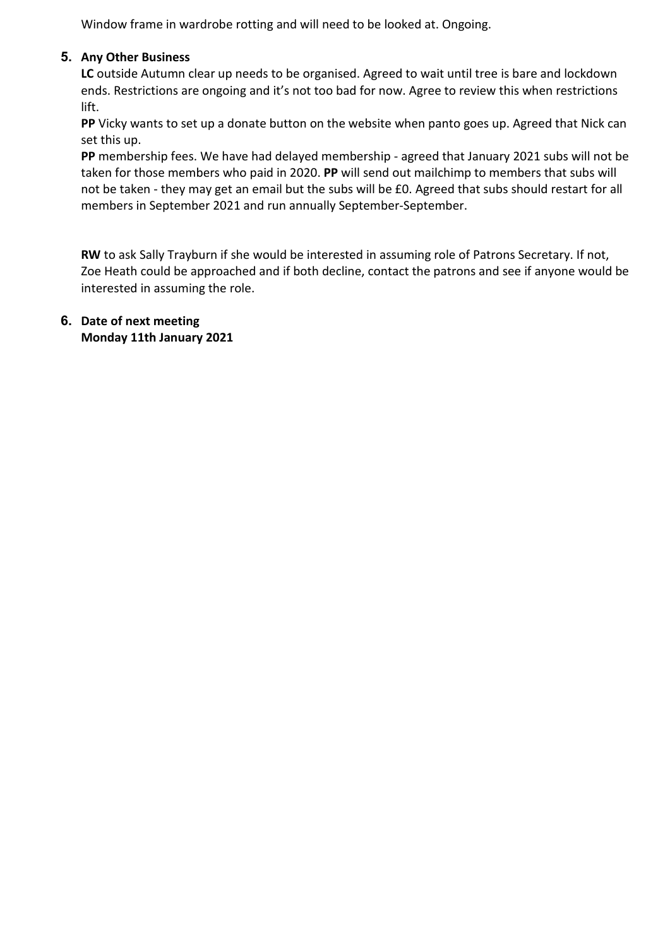Window frame in wardrobe rotting and will need to be looked at. Ongoing.

## **5. Any Other Business**

**LC** outside Autumn clear up needs to be organised. Agreed to wait until tree is bare and lockdown ends. Restrictions are ongoing and it's not too bad for now. Agree to review this when restrictions lift.

**PP** Vicky wants to set up a donate button on the website when panto goes up. Agreed that Nick can set this up.

**PP** membership fees. We have had delayed membership - agreed that January 2021 subs will not be taken for those members who paid in 2020. **PP** will send out mailchimp to members that subs will not be taken - they may get an email but the subs will be £0. Agreed that subs should restart for all members in September 2021 and run annually September-September.

**RW** to ask Sally Trayburn if she would be interested in assuming role of Patrons Secretary. If not, Zoe Heath could be approached and if both decline, contact the patrons and see if anyone would be interested in assuming the role.

## **6. Date of next meeting Monday 11th January 2021**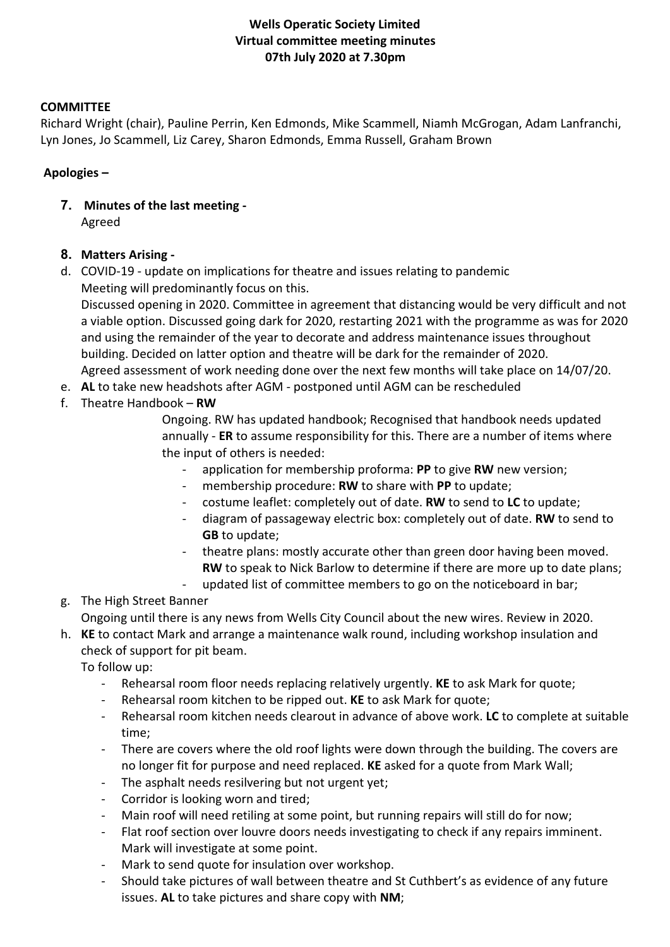## **Wells Operatic Society Limited Virtual committee meeting minutes 07th July 2020 at 7.30pm**

## **COMMITTEE**

Richard Wright (chair), Pauline Perrin, Ken Edmonds, Mike Scammell, Niamh McGrogan, Adam Lanfranchi, Lyn Jones, Jo Scammell, Liz Carey, Sharon Edmonds, Emma Russell, Graham Brown

#### **Apologies –**

**7. Minutes of the last meeting -** Agreed

## **8. Matters Arising -**

d. COVID-19 - update on implications for theatre and issues relating to pandemic Meeting will predominantly focus on this.

Discussed opening in 2020. Committee in agreement that distancing would be very difficult and not a viable option. Discussed going dark for 2020, restarting 2021 with the programme as was for 2020 and using the remainder of the year to decorate and address maintenance issues throughout building. Decided on latter option and theatre will be dark for the remainder of 2020. Agreed assessment of work needing done over the next few months will take place on 14/07/20.

- e. **AL** to take new headshots after AGM postponed until AGM can be rescheduled
- f. Theatre Handbook **RW**

Ongoing. RW has updated handbook; Recognised that handbook needs updated annually - **ER** to assume responsibility for this. There are a number of items where the input of others is needed:

- application for membership proforma: **PP** to give **RW** new version;
	- membership procedure: **RW** to share with PP to update;
- costume leaflet: completely out of date. **RW** to send to **LC** to update;
- diagram of passageway electric box: completely out of date. **RW** to send to **GB** to update;
- theatre plans: mostly accurate other than green door having been moved. **RW** to speak to Nick Barlow to determine if there are more up to date plans;
- updated list of committee members to go on the noticeboard in bar;

## g. The High Street Banner

Ongoing until there is any news from Wells City Council about the new wires. Review in 2020.

h. **KE** to contact Mark and arrange a maintenance walk round, including workshop insulation and check of support for pit beam.

To follow up:

- Rehearsal room floor needs replacing relatively urgently. **KE** to ask Mark for quote;
- Rehearsal room kitchen to be ripped out. **KE** to ask Mark for quote;
- Rehearsal room kitchen needs clearout in advance of above work. **LC** to complete at suitable time;
- There are covers where the old roof lights were down through the building. The covers are no longer fit for purpose and need replaced. **KE** asked for a quote from Mark Wall;
- The asphalt needs resilvering but not urgent yet;
- Corridor is looking worn and tired;
- Main roof will need retiling at some point, but running repairs will still do for now;
- Flat roof section over louvre doors needs investigating to check if any repairs imminent. Mark will investigate at some point.
- Mark to send quote for insulation over workshop.
- Should take pictures of wall between theatre and St Cuthbert's as evidence of any future issues. **AL** to take pictures and share copy with **NM**;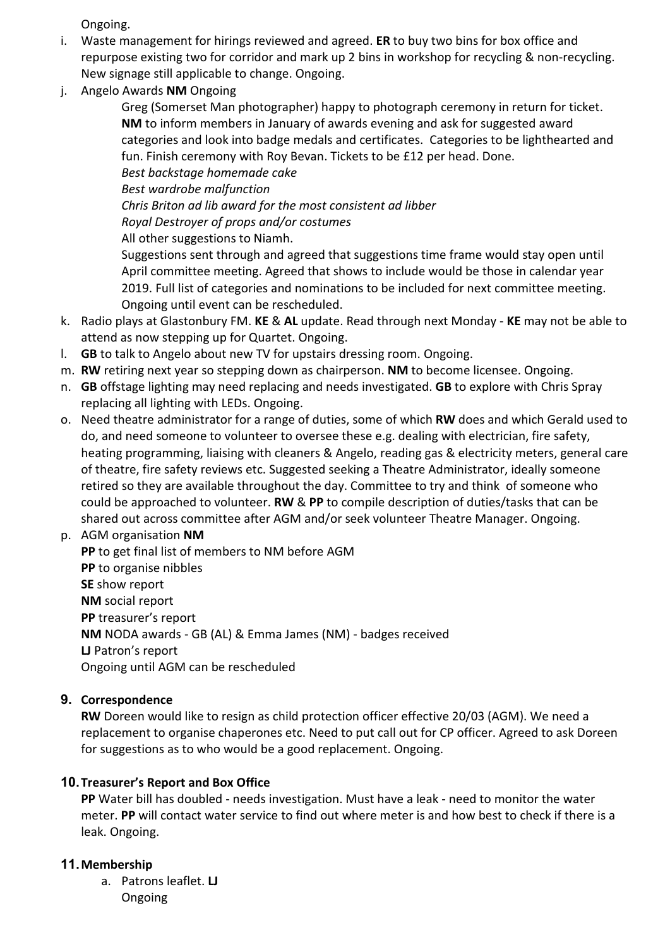Ongoing.

- i. Waste management for hirings reviewed and agreed. **ER** to buy two bins for box office and repurpose existing two for corridor and mark up 2 bins in workshop for recycling & non-recycling. New signage still applicable to change. Ongoing.
- j. Angelo Awards **NM** Ongoing

Greg (Somerset Man photographer) happy to photograph ceremony in return for ticket. **NM** to inform members in January of awards evening and ask for suggested award categories and look into badge medals and certificates. Categories to be lighthearted and fun. Finish ceremony with Roy Bevan. Tickets to be £12 per head. Done. *Best backstage homemade cake*

*Best wardrobe malfunction Chris Briton ad lib award for the most consistent ad libber Royal Destroyer of props and/or costumes* All other suggestions to Niamh.

Suggestions sent through and agreed that suggestions time frame would stay open until April committee meeting. Agreed that shows to include would be those in calendar year 2019. Full list of categories and nominations to be included for next committee meeting. Ongoing until event can be rescheduled.

- k. Radio plays at Glastonbury FM. **KE** & **AL** update. Read through next Monday **KE** may not be able to attend as now stepping up for Quartet. Ongoing.
- l. **GB** to talk to Angelo about new TV for upstairs dressing room. Ongoing.
- m. **RW** retiring next year so stepping down as chairperson. **NM** to become licensee. Ongoing.
- n. **GB** offstage lighting may need replacing and needs investigated. **GB** to explore with Chris Spray replacing all lighting with LEDs. Ongoing.
- o. Need theatre administrator for a range of duties, some of which **RW** does and which Gerald used to do, and need someone to volunteer to oversee these e.g. dealing with electrician, fire safety, heating programming, liaising with cleaners & Angelo, reading gas & electricity meters, general care of theatre, fire safety reviews etc. Suggested seeking a Theatre Administrator, ideally someone retired so they are available throughout the day. Committee to try and think of someone who could be approached to volunteer. **RW** & **PP** to compile description of duties/tasks that can be shared out across committee after AGM and/or seek volunteer Theatre Manager. Ongoing.

p. AGM organisation **NM PP** to get final list of members to NM before AGM **PP** to organise nibbles **SE** show report **NM** social report **PP** treasurer's report **NM** NODA awards - GB (AL) & Emma James (NM) - badges received **LJ** Patron's report Ongoing until AGM can be rescheduled

## **9. Correspondence**

**RW** Doreen would like to resign as child protection officer effective 20/03 (AGM). We need a replacement to organise chaperones etc. Need to put call out for CP officer. Agreed to ask Doreen for suggestions as to who would be a good replacement. Ongoing.

## **10.Treasurer's Report and Box Office**

**PP** Water bill has doubled - needs investigation. Must have a leak - need to monitor the water meter. **PP** will contact water service to find out where meter is and how best to check if there is a leak. Ongoing.

## **11.Membership**

a. Patrons leaflet. **LJ** Ongoing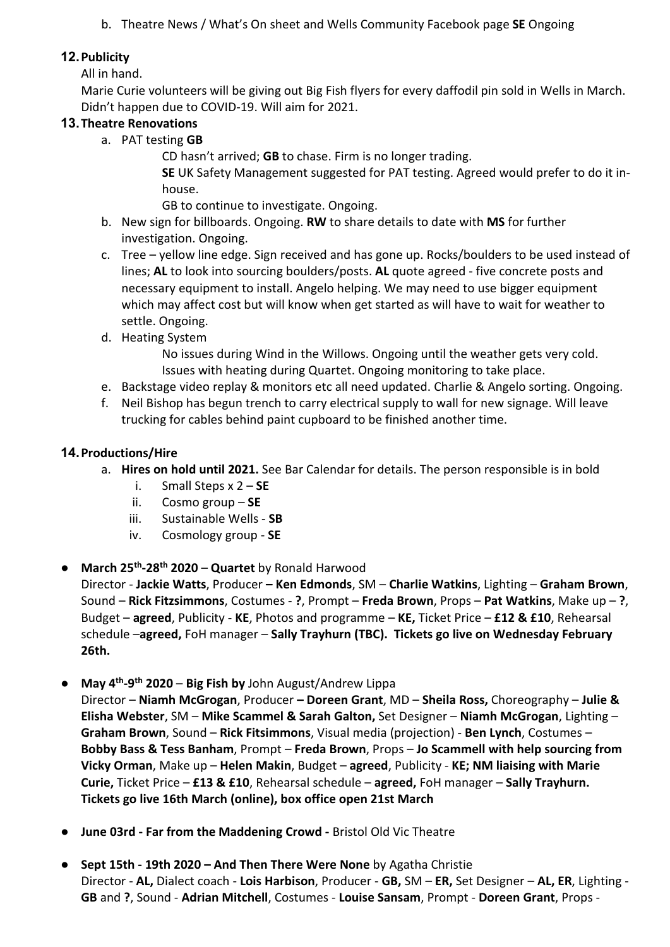b. Theatre News / What's On sheet and Wells Community Facebook page **SE** Ongoing

## **12.Publicity**

All in hand.

Marie Curie volunteers will be giving out Big Fish flyers for every daffodil pin sold in Wells in March. Didn't happen due to COVID-19. Will aim for 2021.

## **13.Theatre Renovations**

a. PAT testing **GB**

CD hasn't arrived; **GB** to chase. Firm is no longer trading.

**SE** UK Safety Management suggested for PAT testing. Agreed would prefer to do it inhouse.

GB to continue to investigate. Ongoing.

- b. New sign for billboards. Ongoing. **RW** to share details to date with **MS** for further investigation. Ongoing.
- c. Tree yellow line edge. Sign received and has gone up. Rocks/boulders to be used instead of lines; **AL** to look into sourcing boulders/posts. **AL** quote agreed - five concrete posts and necessary equipment to install. Angelo helping. We may need to use bigger equipment which may affect cost but will know when get started as will have to wait for weather to settle. Ongoing.
- d. Heating System
	- No issues during Wind in the Willows. Ongoing until the weather gets very cold. Issues with heating during Quartet. Ongoing monitoring to take place.
- e. Backstage video replay & monitors etc all need updated. Charlie & Angelo sorting. Ongoing.
- f. Neil Bishop has begun trench to carry electrical supply to wall for new signage. Will leave trucking for cables behind paint cupboard to be finished another time.

## **14.Productions/Hire**

- a. **Hires on hold until 2021.** See Bar Calendar for details. The person responsible is in bold
	- i. Small Steps x 2 **SE**
	- ii. Cosmo group **SE**
	- iii. Sustainable Wells **SB**
	- iv. Cosmology group **SE**
- **March 25th-28th 2020 Quartet** by Ronald Harwood

Director - **Jackie Watts**, Producer **– Ken Edmonds**, SM – **Charlie Watkins**, Lighting – **Graham Brown**, Sound – **Rick Fitzsimmons**, Costumes - **?**, Prompt – **Freda Brown**, Props – **Pat Watkins**, Make up – **?**, Budget – **agreed**, Publicity - **KE**, Photos and programme – **KE,** Ticket Price – **£12 & £10**, Rehearsal schedule –**agreed,** FoH manager – **Sally Trayhurn (TBC). Tickets go live on Wednesday February 26th.**

● **May 4th-9th 2020** – **Big Fish by** John August/Andrew Lippa

Director – **Niamh McGrogan**, Producer **– Doreen Grant**, MD – **Sheila Ross,** Choreography – **Julie & Elisha Webster**, SM – **Mike Scammel & Sarah Galton,** Set Designer – **Niamh McGrogan**, Lighting – **Graham Brown**, Sound – **Rick Fitsimmons**, Visual media (projection) - **Ben Lynch**, Costumes – **Bobby Bass & Tess Banham**, Prompt – **Freda Brown**, Props – **Jo Scammell with help sourcing from Vicky Orman**, Make up – **Helen Makin**, Budget – **agreed**, Publicity - **KE; NM liaising with Marie Curie,** Ticket Price – **£13 & £10**, Rehearsal schedule – **agreed,** FoH manager – **Sally Trayhurn. Tickets go live 16th March (online), box office open 21st March**

- **June 03rd - Far from the Maddening Crowd -** Bristol Old Vic Theatre
- **Sept 15th - 19th 2020 – And Then There Were None** by Agatha Christie Director - **AL,** Dialect coach - **Lois Harbison**, Producer - **GB,** SM – **ER,** Set Designer – **AL, ER**, Lighting - **GB** and **?**, Sound - **Adrian Mitchell**, Costumes - **Louise Sansam**, Prompt - **Doreen Grant**, Props -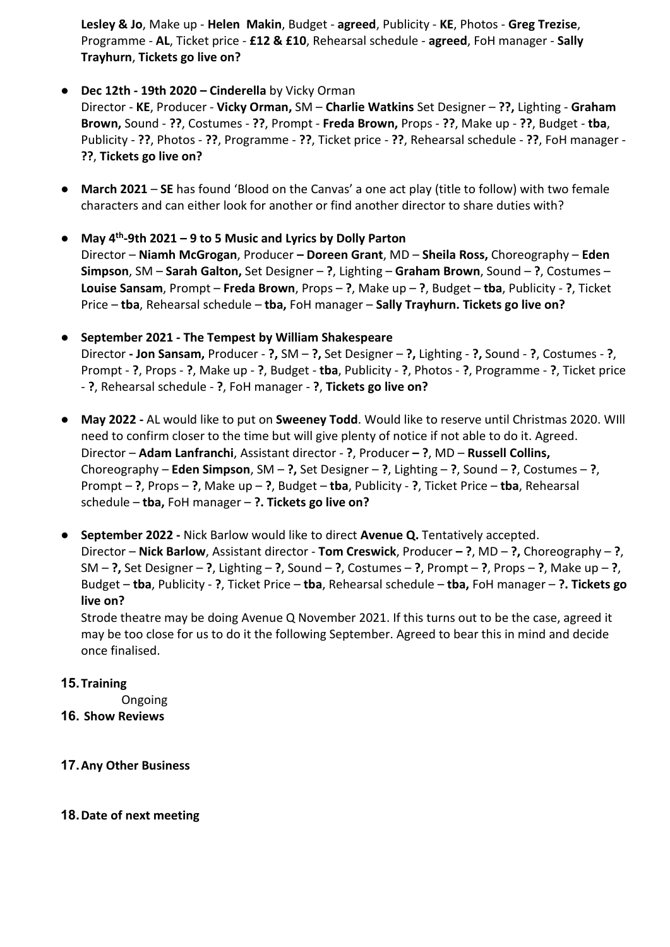**Lesley & Jo**, Make up - **Helen Makin**, Budget - **agreed**, Publicity - **KE**, Photos - **Greg Trezise**, Programme - **AL**, Ticket price - **£12 & £10**, Rehearsal schedule - **agreed**, FoH manager - **Sally Trayhurn**, **Tickets go live on?**

## ● **Dec 12th - 19th 2020 – Cinderella** by Vicky Orman

Director - **KE**, Producer - **Vicky Orman,** SM – **Charlie Watkins** Set Designer – **??,** Lighting - **Graham Brown,** Sound - **??**, Costumes - **??**, Prompt - **Freda Brown,** Props - **??**, Make up - **??**, Budget - **tba**, Publicity - **??**, Photos - **??**, Programme - **??**, Ticket price - **??**, Rehearsal schedule - **??**, FoH manager - **??**, **Tickets go live on?**

- **March 2021 SE** has found 'Blood on the Canvas' a one act play (title to follow) with two female characters and can either look for another or find another director to share duties with?
- **May 4th-9th 2021 – 9 to 5 Music and Lyrics by Dolly Parton** Director – **Niamh McGrogan**, Producer **– Doreen Grant**, MD – **Sheila Ross,** Choreography – **Eden Simpson**, SM – **Sarah Galton,** Set Designer – **?**, Lighting – **Graham Brown**, Sound – **?**, Costumes – **Louise Sansam**, Prompt – **Freda Brown**, Props – **?**, Make up – **?**, Budget – **tba**, Publicity - **?**, Ticket Price – **tba**, Rehearsal schedule – **tba,** FoH manager – **Sally Trayhurn. Tickets go live on?**
- **September 2021 - The Tempest by William Shakespeare** Director **- Jon Sansam,** Producer - **?,** SM – **?,** Set Designer – **?,** Lighting - **?,** Sound - **?**, Costumes - **?**, Prompt - **?**, Props - **?**, Make up - **?**, Budget - **tba**, Publicity - **?**, Photos - **?**, Programme - **?**, Ticket price - **?**, Rehearsal schedule - **?**, FoH manager - **?**, **Tickets go live on?**
- **May 2022 -** AL would like to put on **Sweeney Todd**. Would like to reserve until Christmas 2020. WIll need to confirm closer to the time but will give plenty of notice if not able to do it. Agreed. Director – **Adam Lanfranchi**, Assistant director - **?**, Producer **– ?**, MD – **Russell Collins,** Choreography – **Eden Simpson**, SM – **?,** Set Designer – **?**, Lighting – **?**, Sound – **?**, Costumes – **?**, Prompt – **?**, Props – **?**, Make up – **?**, Budget – **tba**, Publicity - **?**, Ticket Price – **tba**, Rehearsal schedule – **tba,** FoH manager – **?. Tickets go live on?**
- **September 2022 -** Nick Barlow would like to direct **Avenue Q.** Tentatively accepted. Director – **Nick Barlow**, Assistant director - **Tom Creswick**, Producer **– ?**, MD – **?,** Choreography – **?**, SM – **?,** Set Designer – **?**, Lighting – **?**, Sound – **?**, Costumes – **?**, Prompt – **?**, Props – **?**, Make up – **?**, Budget – **tba**, Publicity - **?**, Ticket Price – **tba**, Rehearsal schedule – **tba,** FoH manager – **?. Tickets go live on?**

Strode theatre may be doing Avenue Q November 2021. If this turns out to be the case, agreed it may be too close for us to do it the following September. Agreed to bear this in mind and decide once finalised.

## **15.Training**

Ongoing

**16. Show Reviews**

## **17.Any Other Business**

## **18.Date of next meeting**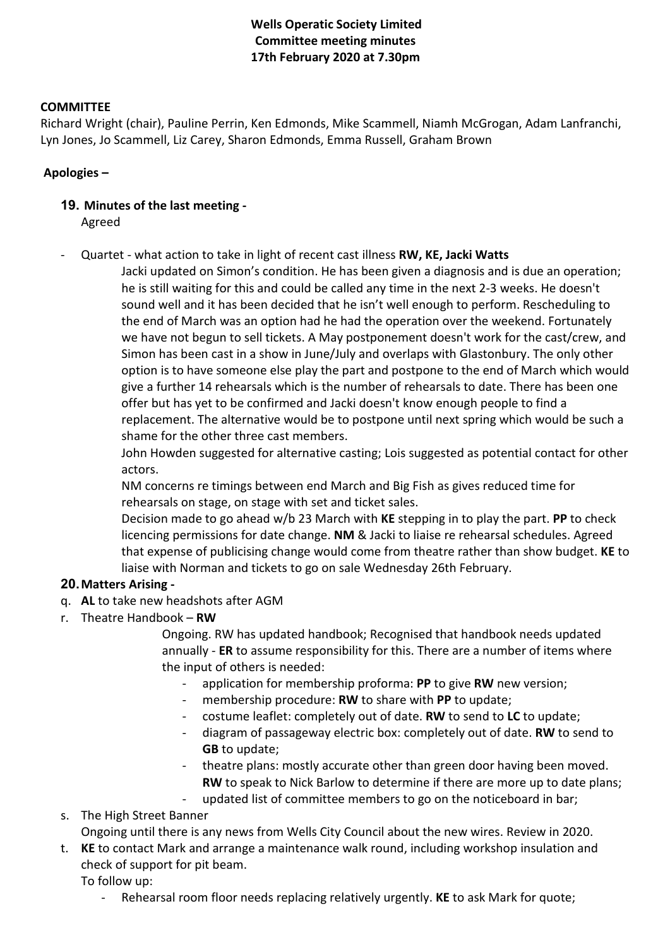## **Wells Operatic Society Limited Committee meeting minutes 17th February 2020 at 7.30pm**

#### **COMMITTEE**

Richard Wright (chair), Pauline Perrin, Ken Edmonds, Mike Scammell, Niamh McGrogan, Adam Lanfranchi, Lyn Jones, Jo Scammell, Liz Carey, Sharon Edmonds, Emma Russell, Graham Brown

## **Apologies –**

# **19. Minutes of the last meeting -**

Agreed

- Quartet - what action to take in light of recent cast illness **RW, KE, Jacki Watts**

Jacki updated on Simon's condition. He has been given a diagnosis and is due an operation; he is still waiting for this and could be called any time in the next 2-3 weeks. He doesn't sound well and it has been decided that he isn't well enough to perform. Rescheduling to the end of March was an option had he had the operation over the weekend. Fortunately we have not begun to sell tickets. A May postponement doesn't work for the cast/crew, and Simon has been cast in a show in June/July and overlaps with Glastonbury. The only other option is to have someone else play the part and postpone to the end of March which would give a further 14 rehearsals which is the number of rehearsals to date. There has been one offer but has yet to be confirmed and Jacki doesn't know enough people to find a replacement. The alternative would be to postpone until next spring which would be such a shame for the other three cast members.

John Howden suggested for alternative casting; Lois suggested as potential contact for other actors.

NM concerns re timings between end March and Big Fish as gives reduced time for rehearsals on stage, on stage with set and ticket sales.

Decision made to go ahead w/b 23 March with **KE** stepping in to play the part. **PP** to check licencing permissions for date change. **NM** & Jacki to liaise re rehearsal schedules. Agreed that expense of publicising change would come from theatre rather than show budget. **KE** to liaise with Norman and tickets to go on sale Wednesday 26th February.

## **20.Matters Arising -**

- q. **AL** to take new headshots after AGM
- r. Theatre Handbook **RW**

Ongoing. RW has updated handbook; Recognised that handbook needs updated annually - **ER** to assume responsibility for this. There are a number of items where the input of others is needed:

- application for membership proforma: **PP** to give **RW** new version;
- membership procedure: **RW** to share with **PP** to update;
- costume leaflet: completely out of date. **RW** to send to **LC** to update;
- diagram of passageway electric box: completely out of date. **RW** to send to **GB** to update;
- theatre plans: mostly accurate other than green door having been moved. **RW** to speak to Nick Barlow to determine if there are more up to date plans;
- updated list of committee members to go on the noticeboard in bar;

s. The High Street Banner

Ongoing until there is any news from Wells City Council about the new wires. Review in 2020.

t. **KE** to contact Mark and arrange a maintenance walk round, including workshop insulation and check of support for pit beam.

To follow up:

- Rehearsal room floor needs replacing relatively urgently. **KE** to ask Mark for quote;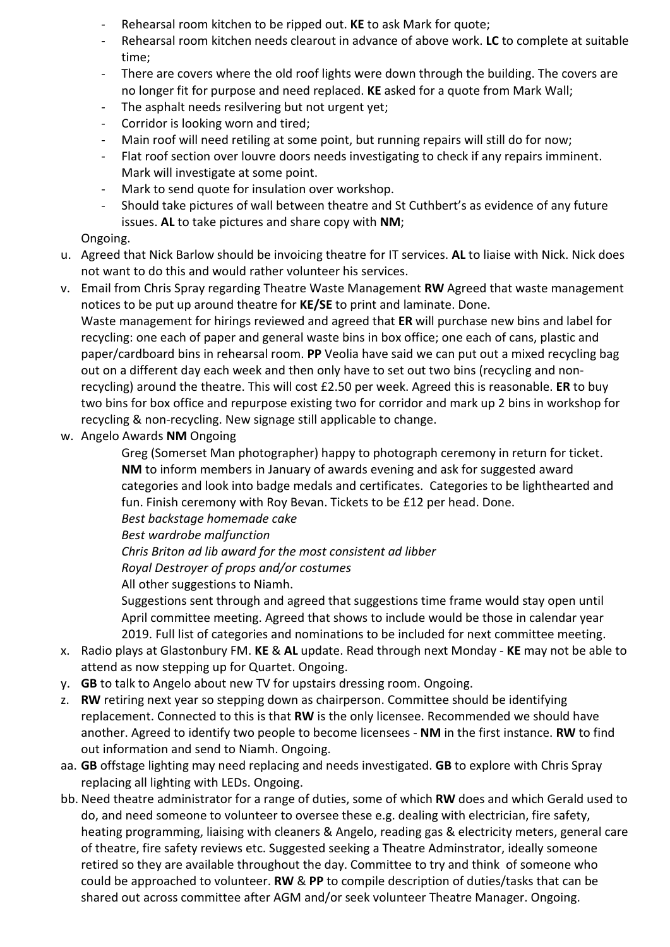- Rehearsal room kitchen to be ripped out. **KE** to ask Mark for quote;
- Rehearsal room kitchen needs clearout in advance of above work. **LC** to complete at suitable time;
- There are covers where the old roof lights were down through the building. The covers are no longer fit for purpose and need replaced. **KE** asked for a quote from Mark Wall;
- The asphalt needs resilvering but not urgent yet;
- Corridor is looking worn and tired;
- Main roof will need retiling at some point, but running repairs will still do for now;
- Flat roof section over louvre doors needs investigating to check if any repairs imminent. Mark will investigate at some point.
- Mark to send quote for insulation over workshop.
- Should take pictures of wall between theatre and St Cuthbert's as evidence of any future issues. **AL** to take pictures and share copy with **NM**;

## Ongoing.

- u. Agreed that Nick Barlow should be invoicing theatre for IT services. **AL** to liaise with Nick. Nick does not want to do this and would rather volunteer his services.
- v. Email from Chris Spray regarding Theatre Waste Management **RW** Agreed that waste management notices to be put up around theatre for **KE/SE** to print and laminate. Done. Waste management for hirings reviewed and agreed that **ER** will purchase new bins and label for

recycling: one each of paper and general waste bins in box office; one each of cans, plastic and paper/cardboard bins in rehearsal room. **PP** Veolia have said we can put out a mixed recycling bag out on a different day each week and then only have to set out two bins (recycling and nonrecycling) around the theatre. This will cost £2.50 per week. Agreed this is reasonable. **ER** to buy two bins for box office and repurpose existing two for corridor and mark up 2 bins in workshop for recycling & non-recycling. New signage still applicable to change.

w. Angelo Awards **NM** Ongoing

Greg (Somerset Man photographer) happy to photograph ceremony in return for ticket. **NM** to inform members in January of awards evening and ask for suggested award categories and look into badge medals and certificates. Categories to be lighthearted and fun. Finish ceremony with Roy Bevan. Tickets to be £12 per head. Done.

*Best backstage homemade cake*

*Best wardrobe malfunction*

*Chris Briton ad lib award for the most consistent ad libber*

*Royal Destroyer of props and/or costumes*

All other suggestions to Niamh.

Suggestions sent through and agreed that suggestions time frame would stay open until April committee meeting. Agreed that shows to include would be those in calendar year 2019. Full list of categories and nominations to be included for next committee meeting.

- x. Radio plays at Glastonbury FM. **KE** & **AL** update. Read through next Monday **KE** may not be able to attend as now stepping up for Quartet. Ongoing.
- y. **GB** to talk to Angelo about new TV for upstairs dressing room. Ongoing.
- z. **RW** retiring next year so stepping down as chairperson. Committee should be identifying replacement. Connected to this is that **RW** is the only licensee. Recommended we should have another. Agreed to identify two people to become licensees - **NM** in the first instance. **RW** to find out information and send to Niamh. Ongoing.
- aa. **GB** offstage lighting may need replacing and needs investigated. **GB** to explore with Chris Spray replacing all lighting with LEDs. Ongoing.
- bb. Need theatre administrator for a range of duties, some of which **RW** does and which Gerald used to do, and need someone to volunteer to oversee these e.g. dealing with electrician, fire safety, heating programming, liaising with cleaners & Angelo, reading gas & electricity meters, general care of theatre, fire safety reviews etc. Suggested seeking a Theatre Adminstrator, ideally someone retired so they are available throughout the day. Committee to try and think of someone who could be approached to volunteer. **RW** & **PP** to compile description of duties/tasks that can be shared out across committee after AGM and/or seek volunteer Theatre Manager. Ongoing.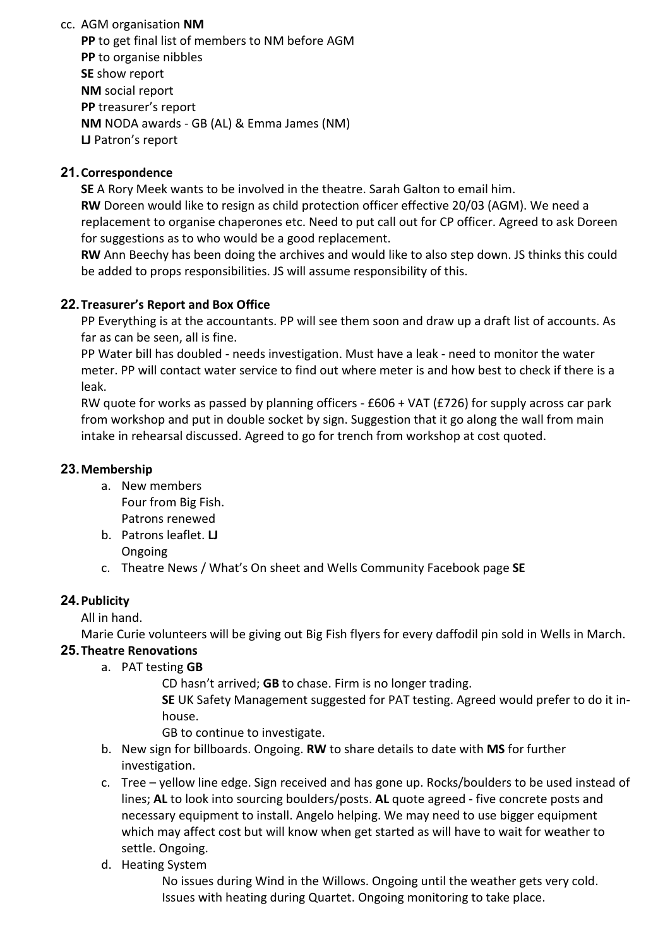cc. AGM organisation **NM**

**PP** to get final list of members to NM before AGM **PP** to organise nibbles **SE** show report **NM** social report **PP** treasurer's report **NM** NODA awards - GB (AL) & Emma James (NM) **LJ** Patron's report

## **21.Correspondence**

**SE** A Rory Meek wants to be involved in the theatre. Sarah Galton to email him. **RW** Doreen would like to resign as child protection officer effective 20/03 (AGM). We need a replacement to organise chaperones etc. Need to put call out for CP officer. Agreed to ask Doreen for suggestions as to who would be a good replacement.

**RW** Ann Beechy has been doing the archives and would like to also step down. JS thinks this could be added to props responsibilities. JS will assume responsibility of this.

## **22.Treasurer's Report and Box Office**

PP Everything is at the accountants. PP will see them soon and draw up a draft list of accounts. As far as can be seen, all is fine.

PP Water bill has doubled - needs investigation. Must have a leak - need to monitor the water meter. PP will contact water service to find out where meter is and how best to check if there is a leak.

RW quote for works as passed by planning officers - £606 + VAT (£726) for supply across car park from workshop and put in double socket by sign. Suggestion that it go along the wall from main intake in rehearsal discussed. Agreed to go for trench from workshop at cost quoted.

## **23.Membership**

- a. New members Four from Big Fish. Patrons renewed
- b. Patrons leaflet. **LJ** Ongoing
- c. Theatre News / What's On sheet and Wells Community Facebook page **SE**

## **24.Publicity**

All in hand.

Marie Curie volunteers will be giving out Big Fish flyers for every daffodil pin sold in Wells in March. **25.Theatre Renovations**

a. PAT testing **GB**

CD hasn't arrived; **GB** to chase. Firm is no longer trading.

**SE** UK Safety Management suggested for PAT testing. Agreed would prefer to do it inhouse.

GB to continue to investigate.

- b. New sign for billboards. Ongoing. **RW** to share details to date with **MS** for further investigation.
- c. Tree yellow line edge. Sign received and has gone up. Rocks/boulders to be used instead of lines; **AL** to look into sourcing boulders/posts. **AL** quote agreed - five concrete posts and necessary equipment to install. Angelo helping. We may need to use bigger equipment which may affect cost but will know when get started as will have to wait for weather to settle. Ongoing.
- d. Heating System

No issues during Wind in the Willows. Ongoing until the weather gets very cold. Issues with heating during Quartet. Ongoing monitoring to take place.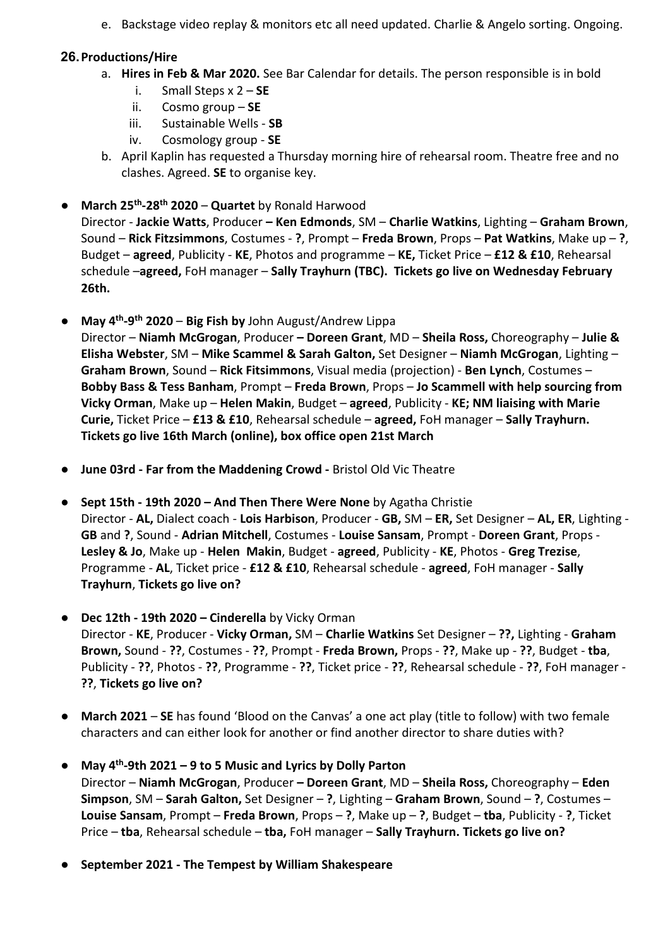e. Backstage video replay & monitors etc all need updated. Charlie & Angelo sorting. Ongoing.

## **26.Productions/Hire**

- a. **Hires in Feb & Mar 2020.** See Bar Calendar for details. The person responsible is in bold
	- i. Small Steps x 2 **SE**
	- ii. Cosmo group **SE**
	- iii. Sustainable Wells **SB**
	- iv. Cosmology group **SE**
- b. April Kaplin has requested a Thursday morning hire of rehearsal room. Theatre free and no clashes. Agreed. **SE** to organise key.
- **March 25th-28th 2020 Quartet** by Ronald Harwood

Director - **Jackie Watts**, Producer **– Ken Edmonds**, SM – **Charlie Watkins**, Lighting – **Graham Brown**, Sound – **Rick Fitzsimmons**, Costumes - **?**, Prompt – **Freda Brown**, Props – **Pat Watkins**, Make up – **?**, Budget – **agreed**, Publicity - **KE**, Photos and programme – **KE,** Ticket Price – **£12 & £10**, Rehearsal schedule –**agreed,** FoH manager – **Sally Trayhurn (TBC). Tickets go live on Wednesday February 26th.**

- **May 4th-9th 2020 Big Fish by** John August/Andrew Lippa Director – **Niamh McGrogan**, Producer **– Doreen Grant**, MD – **Sheila Ross,** Choreography – **Julie & Elisha Webster**, SM – **Mike Scammel & Sarah Galton,** Set Designer – **Niamh McGrogan**, Lighting – **Graham Brown**, Sound – **Rick Fitsimmons**, Visual media (projection) - **Ben Lynch**, Costumes – **Bobby Bass & Tess Banham**, Prompt – **Freda Brown**, Props – **Jo Scammell with help sourcing from Vicky Orman**, Make up – **Helen Makin**, Budget – **agreed**, Publicity - **KE; NM liaising with Marie Curie,** Ticket Price – **£13 & £10**, Rehearsal schedule – **agreed,** FoH manager – **Sally Trayhurn. Tickets go live 16th March (online), box office open 21st March**
- **June 03rd - Far from the Maddening Crowd -** Bristol Old Vic Theatre
- **Sept 15th - 19th 2020 – And Then There Were None** by Agatha Christie Director - **AL,** Dialect coach - **Lois Harbison**, Producer - **GB,** SM – **ER,** Set Designer – **AL, ER**, Lighting - **GB** and **?**, Sound - **Adrian Mitchell**, Costumes - **Louise Sansam**, Prompt - **Doreen Grant**, Props - **Lesley & Jo**, Make up - **Helen Makin**, Budget - **agreed**, Publicity - **KE**, Photos - **Greg Trezise**, Programme - **AL**, Ticket price - **£12 & £10**, Rehearsal schedule - **agreed**, FoH manager - **Sally Trayhurn**, **Tickets go live on?**
- **Dec 12th - 19th 2020 – Cinderella** by Vicky Orman Director - **KE**, Producer - **Vicky Orman,** SM – **Charlie Watkins** Set Designer – **??,** Lighting - **Graham Brown,** Sound - **??**, Costumes - **??**, Prompt - **Freda Brown,** Props - **??**, Make up - **??**, Budget - **tba**, Publicity - **??**, Photos - **??**, Programme - **??**, Ticket price - **??**, Rehearsal schedule - **??**, FoH manager - **??**, **Tickets go live on?**
- **March 2021 SE** has found 'Blood on the Canvas' a one act play (title to follow) with two female characters and can either look for another or find another director to share duties with?
- **May 4th-9th 2021 – 9 to 5 Music and Lyrics by Dolly Parton** Director – **Niamh McGrogan**, Producer **– Doreen Grant**, MD – **Sheila Ross,** Choreography – **Eden Simpson**, SM – **Sarah Galton,** Set Designer – **?**, Lighting – **Graham Brown**, Sound – **?**, Costumes – **Louise Sansam**, Prompt – **Freda Brown**, Props – **?**, Make up – **?**, Budget – **tba**, Publicity - **?**, Ticket Price – **tba**, Rehearsal schedule – **tba,** FoH manager – **Sally Trayhurn. Tickets go live on?**
- **September 2021 - The Tempest by William Shakespeare**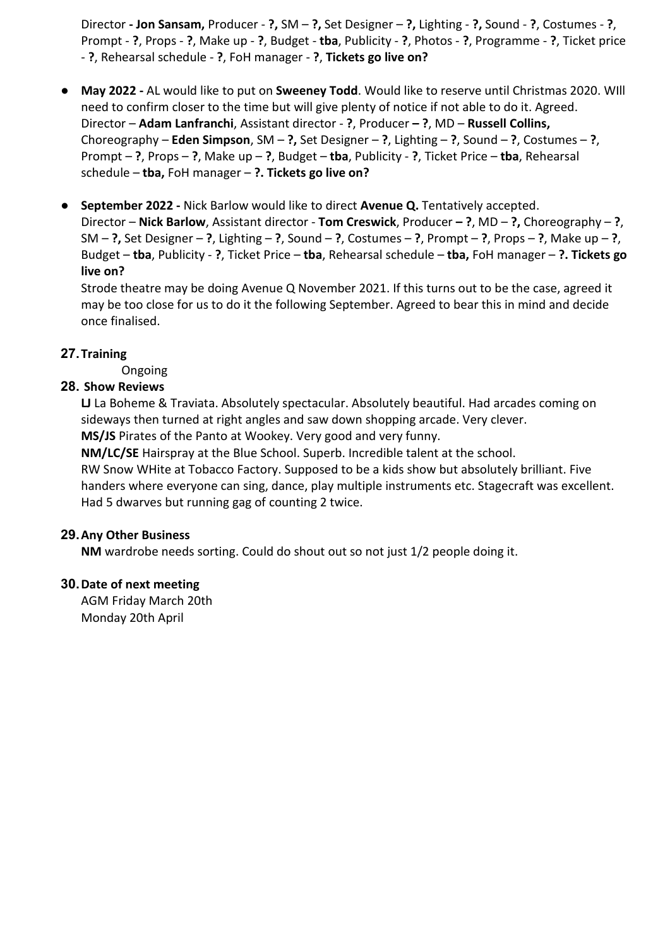Director **- Jon Sansam,** Producer - **?,** SM – **?,** Set Designer – **?,** Lighting - **?,** Sound - **?**, Costumes - **?**, Prompt - **?**, Props - **?**, Make up - **?**, Budget - **tba**, Publicity - **?**, Photos - **?**, Programme - **?**, Ticket price - **?**, Rehearsal schedule - **?**, FoH manager - **?**, **Tickets go live on?**

- **May 2022 -** AL would like to put on **Sweeney Todd**. Would like to reserve until Christmas 2020. WIll need to confirm closer to the time but will give plenty of notice if not able to do it. Agreed. Director – **Adam Lanfranchi**, Assistant director - **?**, Producer **– ?**, MD – **Russell Collins,** Choreography – **Eden Simpson**, SM – **?,** Set Designer – **?**, Lighting – **?**, Sound – **?**, Costumes – **?**, Prompt – **?**, Props – **?**, Make up – **?**, Budget – **tba**, Publicity - **?**, Ticket Price – **tba**, Rehearsal schedule – **tba,** FoH manager – **?. Tickets go live on?**
- **September 2022 -** Nick Barlow would like to direct **Avenue Q.** Tentatively accepted. Director – **Nick Barlow**, Assistant director - **Tom Creswick**, Producer **– ?**, MD – **?,** Choreography – **?**, SM – **?,** Set Designer – **?**, Lighting – **?**, Sound – **?**, Costumes – **?**, Prompt – **?**, Props – **?**, Make up – **?**, Budget – **tba**, Publicity - **?**, Ticket Price – **tba**, Rehearsal schedule – **tba,** FoH manager – **?. Tickets go live on?**

Strode theatre may be doing Avenue Q November 2021. If this turns out to be the case, agreed it may be too close for us to do it the following September. Agreed to bear this in mind and decide once finalised.

## **27.Training**

Ongoing

#### **28. Show Reviews**

**LJ** La Boheme & Traviata. Absolutely spectacular. Absolutely beautiful. Had arcades coming on sideways then turned at right angles and saw down shopping arcade. Very clever. **MS/JS** Pirates of the Panto at Wookey. Very good and very funny.

**NM/LC/SE** Hairspray at the Blue School. Superb. Incredible talent at the school. RW Snow WHite at Tobacco Factory. Supposed to be a kids show but absolutely brilliant. Five handers where everyone can sing, dance, play multiple instruments etc. Stagecraft was excellent. Had 5 dwarves but running gag of counting 2 twice.

## **29.Any Other Business**

**NM** wardrobe needs sorting. Could do shout out so not just 1/2 people doing it.

#### **30.Date of next meeting**

AGM Friday March 20th Monday 20th April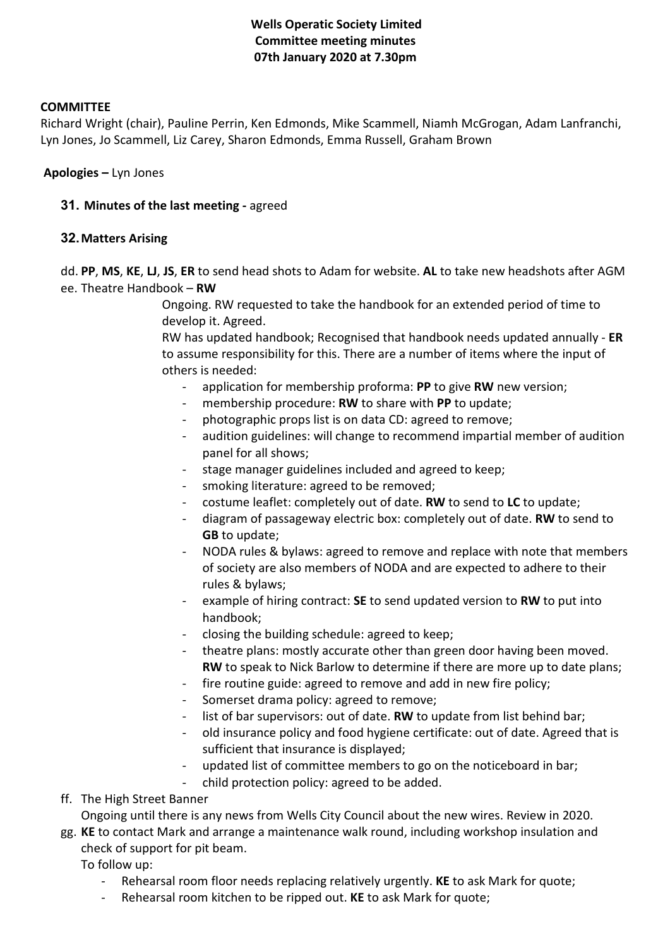## **Wells Operatic Society Limited Committee meeting minutes 07th January 2020 at 7.30pm**

#### **COMMITTEE**

Richard Wright (chair), Pauline Perrin, Ken Edmonds, Mike Scammell, Niamh McGrogan, Adam Lanfranchi, Lyn Jones, Jo Scammell, Liz Carey, Sharon Edmonds, Emma Russell, Graham Brown

**Apologies –** Lyn Jones

**31. Minutes of the last meeting -** agreed

#### **32.Matters Arising**

dd. **PP**, **MS**, **KE**, **LJ**, **JS**, **ER** to send head shots to Adam for website. **AL** to take new headshots after AGM ee. Theatre Handbook – **RW**

> Ongoing. RW requested to take the handbook for an extended period of time to develop it. Agreed.

RW has updated handbook; Recognised that handbook needs updated annually - **ER**  to assume responsibility for this. There are a number of items where the input of others is needed:

- application for membership proforma: **PP** to give **RW** new version;
- membership procedure: RW to share with PP to update;
- photographic props list is on data CD: agreed to remove;
- audition guidelines: will change to recommend impartial member of audition panel for all shows;
- stage manager guidelines included and agreed to keep;
- smoking literature: agreed to be removed;
- costume leaflet: completely out of date. **RW** to send to **LC** to update;
- diagram of passageway electric box: completely out of date. **RW** to send to **GB** to update;
- NODA rules & bylaws: agreed to remove and replace with note that members of society are also members of NODA and are expected to adhere to their rules & bylaws;
- example of hiring contract: **SE** to send updated version to **RW** to put into handbook;
- closing the building schedule: agreed to keep;
- theatre plans: mostly accurate other than green door having been moved. **RW** to speak to Nick Barlow to determine if there are more up to date plans;
- fire routine guide: agreed to remove and add in new fire policy;
- Somerset drama policy: agreed to remove;
- list of bar supervisors: out of date. **RW** to update from list behind bar;
- old insurance policy and food hygiene certificate: out of date. Agreed that is sufficient that insurance is displayed;
- updated list of committee members to go on the noticeboard in bar;
- child protection policy: agreed to be added.
- ff. The High Street Banner

Ongoing until there is any news from Wells City Council about the new wires. Review in 2020.

gg. **KE** to contact Mark and arrange a maintenance walk round, including workshop insulation and check of support for pit beam.

To follow up:

- Rehearsal room floor needs replacing relatively urgently. **KE** to ask Mark for quote;
- Rehearsal room kitchen to be ripped out. **KE** to ask Mark for quote;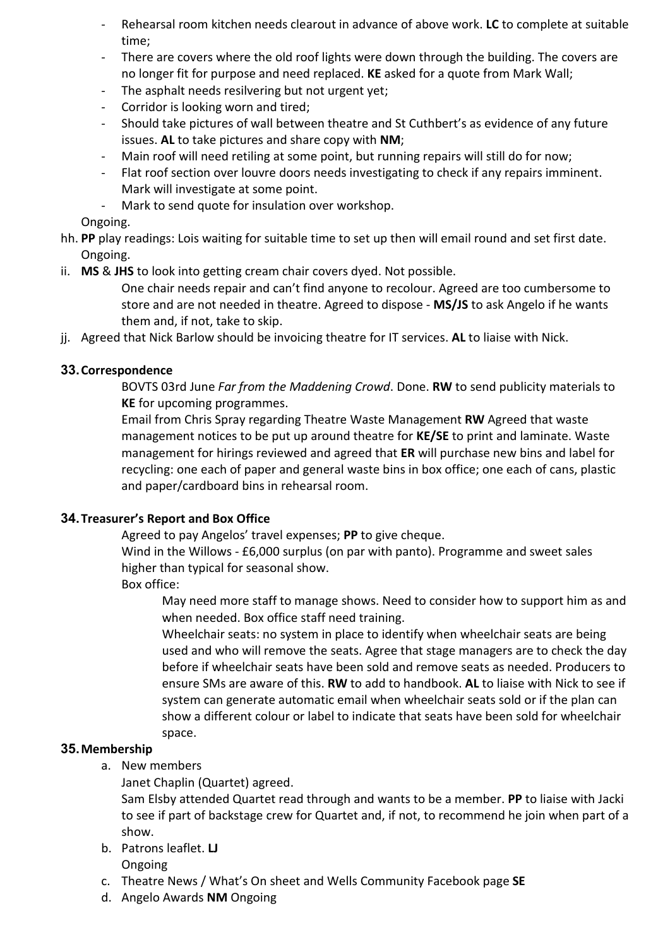- Rehearsal room kitchen needs clearout in advance of above work. **LC** to complete at suitable time;
- There are covers where the old roof lights were down through the building. The covers are no longer fit for purpose and need replaced. **KE** asked for a quote from Mark Wall;
- The asphalt needs resilvering but not urgent yet;
- Corridor is looking worn and tired;
- Should take pictures of wall between theatre and St Cuthbert's as evidence of any future issues. **AL** to take pictures and share copy with **NM**;
- Main roof will need retiling at some point, but running repairs will still do for now;
- Flat roof section over louvre doors needs investigating to check if any repairs imminent. Mark will investigate at some point.
- Mark to send quote for insulation over workshop.

Ongoing.

- hh. **PP** play readings: Lois waiting for suitable time to set up then will email round and set first date. Ongoing.
- ii. **MS** & **JHS** to look into getting cream chair covers dyed. Not possible.

One chair needs repair and can't find anyone to recolour. Agreed are too cumbersome to store and are not needed in theatre. Agreed to dispose - **MS/JS** to ask Angelo if he wants them and, if not, take to skip.

jj. Agreed that Nick Barlow should be invoicing theatre for IT services. **AL** to liaise with Nick.

## **33.Correspondence**

BOVTS 03rd June *Far from the Maddening Crowd*. Done. **RW** to send publicity materials to **KE** for upcoming programmes.

Email from Chris Spray regarding Theatre Waste Management **RW** Agreed that waste management notices to be put up around theatre for **KE/SE** to print and laminate. Waste management for hirings reviewed and agreed that **ER** will purchase new bins and label for recycling: one each of paper and general waste bins in box office; one each of cans, plastic and paper/cardboard bins in rehearsal room.

## **34.Treasurer's Report and Box Office**

Agreed to pay Angelos' travel expenses; **PP** to give cheque.

Wind in the Willows - £6,000 surplus (on par with panto). Programme and sweet sales higher than typical for seasonal show.

Box office:

May need more staff to manage shows. Need to consider how to support him as and when needed. Box office staff need training.

Wheelchair seats: no system in place to identify when wheelchair seats are being used and who will remove the seats. Agree that stage managers are to check the day before if wheelchair seats have been sold and remove seats as needed. Producers to ensure SMs are aware of this. **RW** to add to handbook. **AL** to liaise with Nick to see if system can generate automatic email when wheelchair seats sold or if the plan can show a different colour or label to indicate that seats have been sold for wheelchair space.

## **35.Membership**

- a. New members
	- Janet Chaplin (Quartet) agreed.

Sam Elsby attended Quartet read through and wants to be a member. **PP** to liaise with Jacki to see if part of backstage crew for Quartet and, if not, to recommend he join when part of a show.

- b. Patrons leaflet. **LJ** Ongoing
- c. Theatre News / What's On sheet and Wells Community Facebook page **SE**
- d. Angelo Awards **NM** Ongoing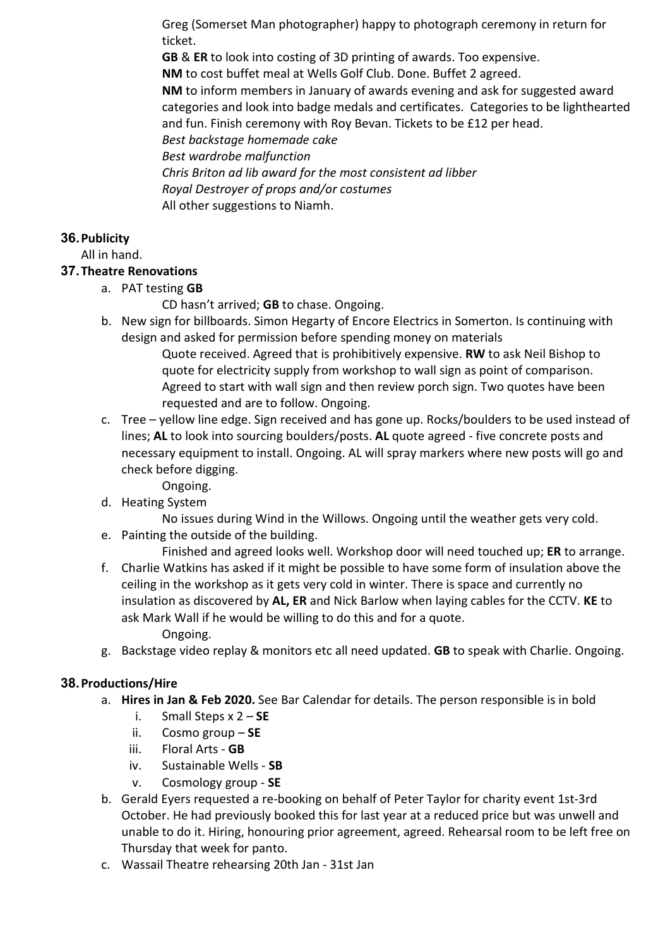Greg (Somerset Man photographer) happy to photograph ceremony in return for ticket.

**GB** & **ER** to look into costing of 3D printing of awards. Too expensive.

**NM** to cost buffet meal at Wells Golf Club. Done. Buffet 2 agreed.

**NM** to inform members in January of awards evening and ask for suggested award categories and look into badge medals and certificates. Categories to be lighthearted and fun. Finish ceremony with Roy Bevan. Tickets to be £12 per head.

*Best backstage homemade cake*

*Best wardrobe malfunction*

*Chris Briton ad lib award for the most consistent ad libber Royal Destroyer of props and/or costumes* All other suggestions to Niamh.

## **36.Publicity**

All in hand.

## **37.Theatre Renovations**

a. PAT testing **GB**

CD hasn't arrived; **GB** to chase. Ongoing.

b. New sign for billboards. Simon Hegarty of Encore Electrics in Somerton. Is continuing with design and asked for permission before spending money on materials

Quote received. Agreed that is prohibitively expensive. **RW** to ask Neil Bishop to quote for electricity supply from workshop to wall sign as point of comparison. Agreed to start with wall sign and then review porch sign. Two quotes have been requested and are to follow. Ongoing.

- c. Tree yellow line edge. Sign received and has gone up. Rocks/boulders to be used instead of lines; **AL** to look into sourcing boulders/posts. **AL** quote agreed - five concrete posts and necessary equipment to install. Ongoing. AL will spray markers where new posts will go and check before digging.
	- Ongoing.
- d. Heating System

No issues during Wind in the Willows. Ongoing until the weather gets very cold.

e. Painting the outside of the building.

Finished and agreed looks well. Workshop door will need touched up; **ER** to arrange. f. Charlie Watkins has asked if it might be possible to have some form of insulation above the

- ceiling in the workshop as it gets very cold in winter. There is space and currently no insulation as discovered by **AL, ER** and Nick Barlow when laying cables for the CCTV. **KE** to ask Mark Wall if he would be willing to do this and for a quote. Ongoing.
- g. Backstage video replay & monitors etc all need updated. **GB** to speak with Charlie. Ongoing.

## **38.Productions/Hire**

- a. **Hires in Jan & Feb 2020.** See Bar Calendar for details. The person responsible is in bold
	- i. Small Steps x 2 **SE**
	- ii. Cosmo group **SE**
	- iii. Floral Arts **GB**
	- iv. Sustainable Wells **SB**
	- v. Cosmology group **SE**
- b. Gerald Eyers requested a re-booking on behalf of Peter Taylor for charity event 1st-3rd October. He had previously booked this for last year at a reduced price but was unwell and unable to do it. Hiring, honouring prior agreement, agreed. Rehearsal room to be left free on Thursday that week for panto.
- c. Wassail Theatre rehearsing 20th Jan 31st Jan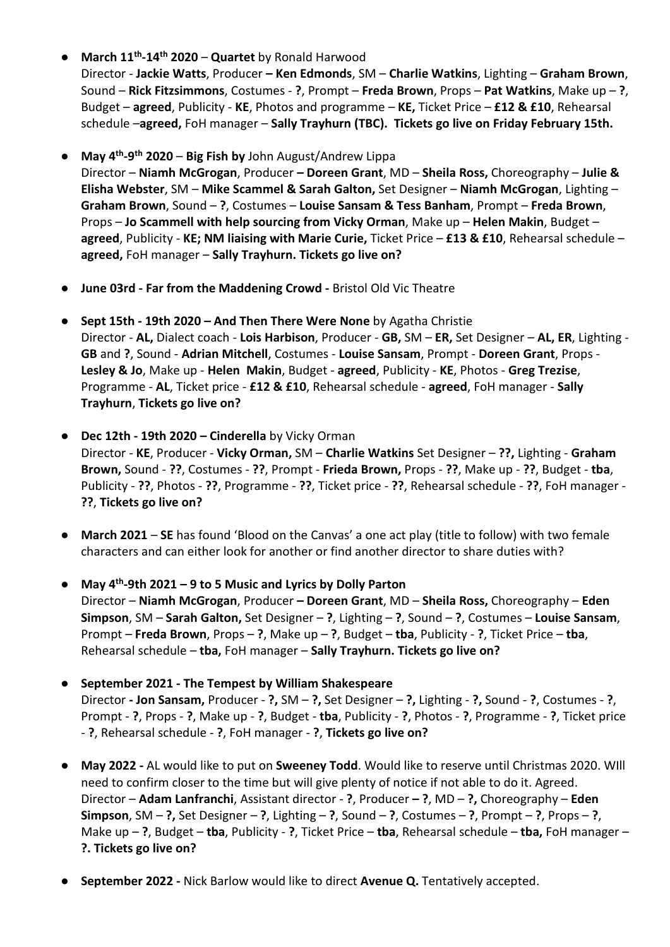● **March 11th-14th 2020** – **Quartet** by Ronald Harwood

Director - **Jackie Watts**, Producer **– Ken Edmonds**, SM – **Charlie Watkins**, Lighting – **Graham Brown**, Sound – **Rick Fitzsimmons**, Costumes - **?**, Prompt – **Freda Brown**, Props – **Pat Watkins**, Make up – **?**, Budget – **agreed**, Publicity - **KE**, Photos and programme – **KE,** Ticket Price – **£12 & £10**, Rehearsal schedule –**agreed,** FoH manager – **Sally Trayhurn (TBC). Tickets go live on Friday February 15th.**

● **May 4th-9th 2020** – **Big Fish by** John August/Andrew Lippa

Director – **Niamh McGrogan**, Producer **– Doreen Grant**, MD – **Sheila Ross,** Choreography – **Julie & Elisha Webster**, SM – **Mike Scammel & Sarah Galton,** Set Designer – **Niamh McGrogan**, Lighting – **Graham Brown**, Sound – **?**, Costumes – **Louise Sansam & Tess Banham**, Prompt – **Freda Brown**, Props – **Jo Scammell with help sourcing from Vicky Orman**, Make up – **Helen Makin**, Budget – **agreed**, Publicity - **KE; NM liaising with Marie Curie,** Ticket Price – **£13 & £10**, Rehearsal schedule – **agreed,** FoH manager – **Sally Trayhurn. Tickets go live on?**

- **June 03rd - Far from the Maddening Crowd -** Bristol Old Vic Theatre
- **Sept 15th - 19th 2020 – And Then There Were None** by Agatha Christie Director - **AL,** Dialect coach - **Lois Harbison**, Producer - **GB,** SM – **ER,** Set Designer – **AL, ER**, Lighting - **GB** and **?**, Sound - **Adrian Mitchell**, Costumes - **Louise Sansam**, Prompt - **Doreen Grant**, Props - **Lesley & Jo**, Make up - **Helen Makin**, Budget - **agreed**, Publicity - **KE**, Photos - **Greg Trezise**, Programme - **AL**, Ticket price - **£12 & £10**, Rehearsal schedule - **agreed**, FoH manager - **Sally Trayhurn**, **Tickets go live on?**
- **Dec 12th - 19th 2020 – Cinderella** by Vicky Orman Director - **KE**, Producer - **Vicky Orman,** SM – **Charlie Watkins** Set Designer – **??,** Lighting - **Graham Brown,** Sound - **??**, Costumes - **??**, Prompt - **Frieda Brown,** Props - **??**, Make up - **??**, Budget - **tba**, Publicity - **??**, Photos - **??**, Programme - **??**, Ticket price - **??**, Rehearsal schedule - **??**, FoH manager - **??**, **Tickets go live on?**
- **March 2021 SE** has found 'Blood on the Canvas' a one act play (title to follow) with two female characters and can either look for another or find another director to share duties with?
- **May 4th-9th 2021 – 9 to 5 Music and Lyrics by Dolly Parton** Director – **Niamh McGrogan**, Producer **– Doreen Grant**, MD – **Sheila Ross,** Choreography – **Eden Simpson**, SM – **Sarah Galton,** Set Designer – **?**, Lighting – **?**, Sound – **?**, Costumes – **Louise Sansam**, Prompt – **Freda Brown**, Props – **?**, Make up – **?**, Budget – **tba**, Publicity - **?**, Ticket Price – **tba**, Rehearsal schedule – **tba,** FoH manager – **Sally Trayhurn. Tickets go live on?**
- **September 2021 - The Tempest by William Shakespeare** Director **- Jon Sansam,** Producer - **?,** SM – **?,** Set Designer – **?,** Lighting - **?,** Sound - **?**, Costumes - **?**, Prompt - **?**, Props - **?**, Make up - **?**, Budget - **tba**, Publicity - **?**, Photos - **?**, Programme - **?**, Ticket price - **?**, Rehearsal schedule - **?**, FoH manager - **?**, **Tickets go live on?**
- **May 2022 -** AL would like to put on **Sweeney Todd**. Would like to reserve until Christmas 2020. WIll need to confirm closer to the time but will give plenty of notice if not able to do it. Agreed. Director – **Adam Lanfranchi**, Assistant director - **?**, Producer **– ?**, MD – **?,** Choreography – **Eden Simpson**, SM – **?,** Set Designer – **?**, Lighting – **?**, Sound – **?**, Costumes – **?**, Prompt – **?**, Props – **?**, Make up – **?**, Budget – **tba**, Publicity - **?**, Ticket Price – **tba**, Rehearsal schedule – **tba,** FoH manager – **?. Tickets go live on?**
- **September 2022 -** Nick Barlow would like to direct **Avenue Q.** Tentatively accepted.